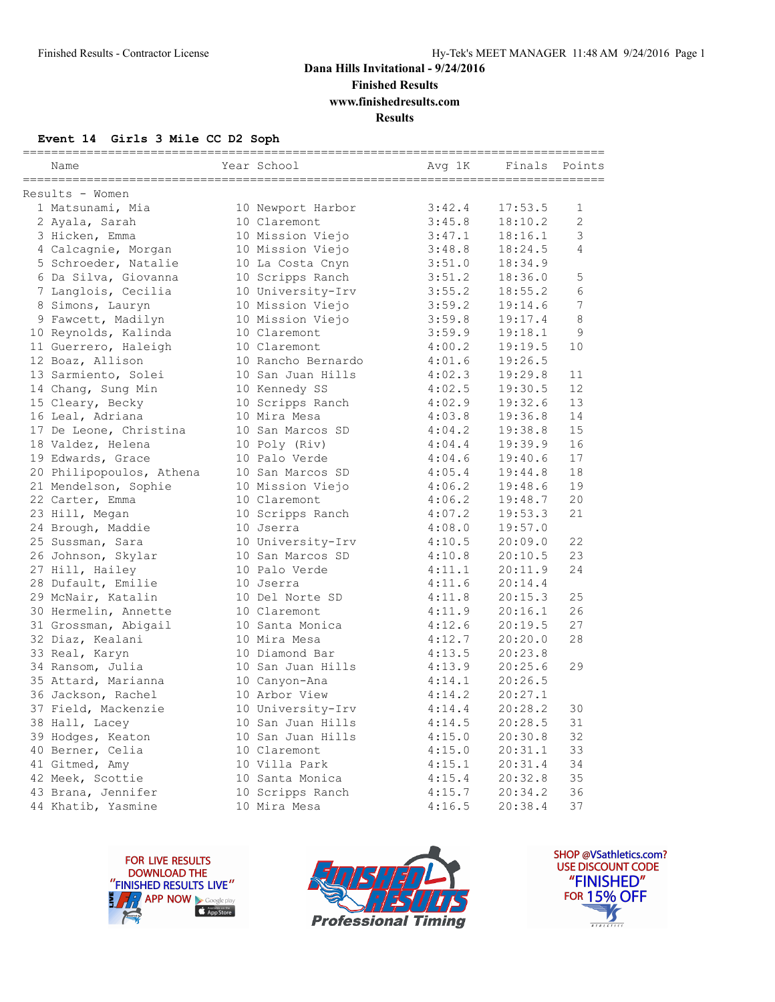### **Dana Hills Invitational - 9/24/2016 Finished Results**

**www.finishedresults.com**

**Results**

#### **Event 14 Girls 3 Mile CC D2 Soph**

| Name                     | Year School        | Avg 1K | Finals Points |    |
|--------------------------|--------------------|--------|---------------|----|
| Results - Women          |                    |        |               |    |
| 1 Matsunami, Mia         | 10 Newport Harbor  | 3:42.4 | 17:53.5       | 1  |
| 2 Ayala, Sarah           | 10 Claremont       | 3:45.8 | 18:10.2       | 2  |
| 3 Hicken, Emma           | 10 Mission Viejo   | 3:47.1 | 18:16.1       | 3  |
| 4 Calcagnie, Morgan      | 10 Mission Viejo   | 3:48.8 | 18:24.5       | 4  |
| 5 Schroeder, Natalie     | 10 La Costa Cnyn   | 3:51.0 | 18:34.9       |    |
| 6 Da Silva, Giovanna     | 10 Scripps Ranch   | 3:51.2 | 18:36.0       | 5  |
| 7 Langlois, Cecilia      | 10 University-Irv  | 3:55.2 | 18:55.2       | 6  |
| 8 Simons, Lauryn         | 10 Mission Viejo   | 3:59.2 | 19:14.6       | 7  |
| 9 Fawcett, Madilyn       | 10 Mission Viejo   | 3:59.8 | 19:17.4       | 8  |
| 10 Reynolds, Kalinda     | 10 Claremont       | 3:59.9 | 19:18.1       | 9  |
| 11 Guerrero, Haleigh     | 10 Claremont       | 4:00.2 | 19:19.5       | 10 |
| 12 Boaz, Allison         | 10 Rancho Bernardo | 4:01.6 | 19:26.5       |    |
| 13 Sarmiento, Solei      | 10 San Juan Hills  | 4:02.3 | 19:29.8       | 11 |
| 14 Chang, Sung Min       | 10 Kennedy SS      | 4:02.5 | 19:30.5       | 12 |
| 15 Cleary, Becky         | 10 Scripps Ranch   | 4:02.9 | 19:32.6       | 13 |
| 16 Leal, Adriana         | 10 Mira Mesa       | 4:03.8 | 19:36.8       | 14 |
| 17 De Leone, Christina   | 10 San Marcos SD   | 4:04.2 | 19:38.8       | 15 |
| 18 Valdez, Helena        | 10 Poly (Riv)      | 4:04.4 | 19:39.9       | 16 |
| 19 Edwards, Grace        | 10 Palo Verde      | 4:04.6 | 19:40.6       | 17 |
| 20 Philipopoulos, Athena | 10 San Marcos SD   | 4:05.4 | 19:44.8       | 18 |
| 21 Mendelson, Sophie     | 10 Mission Viejo   | 4:06.2 | 19:48.6       | 19 |
| 22 Carter, Emma          | 10 Claremont       | 4:06.2 | 19:48.7       | 20 |
| 23 Hill, Megan           | 10 Scripps Ranch   | 4:07.2 | 19:53.3       | 21 |
| 24 Brough, Maddie        | 10 Jserra          | 4:08.0 | 19:57.0       |    |
| 25 Sussman, Sara         | 10 University-Irv  | 4:10.5 | 20:09.0       | 22 |
| 26 Johnson, Skylar       | 10 San Marcos SD   | 4:10.8 | 20:10.5       | 23 |
| 27 Hill, Hailey          | 10 Palo Verde      | 4:11.1 | 20:11.9       | 24 |
| 28 Dufault, Emilie       | 10 Jserra          | 4:11.6 | 20:14.4       |    |
| 29 McNair, Katalin       | 10 Del Norte SD    | 4:11.8 | 20:15.3       | 25 |
| 30 Hermelin, Annette     | 10 Claremont       | 4:11.9 | 20:16.1       | 26 |
| 31 Grossman, Abigail     | 10 Santa Monica    | 4:12.6 | 20:19.5       | 27 |
| 32 Diaz, Kealani         | 10 Mira Mesa       | 4:12.7 | 20:20.0       | 28 |
| 33 Real, Karyn           | 10 Diamond Bar     | 4:13.5 | 20:23.8       |    |
| 34 Ransom, Julia         | 10 San Juan Hills  | 4:13.9 | 20:25.6       | 29 |
| 35 Attard, Marianna      | 10 Canyon-Ana      | 4:14.1 | 20:26.5       |    |
| 36 Jackson, Rachel       | 10 Arbor View      | 4:14.2 | 20:27.1       |    |
| 37 Field, Mackenzie      | 10 University-Irv  | 4:14.4 | 20:28.2       | 30 |
| 38 Hall, Lacey           | 10 San Juan Hills  | 4:14.5 | 20:28.5       | 31 |
| 39 Hodges, Keaton        | 10 San Juan Hills  | 4:15.0 | 20:30.8       | 32 |
| 40 Berner, Celia         | 10 Claremont       | 4:15.0 | 20:31.1       | 33 |
| 41 Gitmed, Amy           | 10 Villa Park      | 4:15.1 | 20:31.4       | 34 |
| 42 Meek, Scottie         | 10 Santa Monica    | 4:15.4 | 20:32.8       | 35 |
| 43 Brana, Jennifer       | 10 Scripps Ranch   | 4:15.7 | 20:34.2       | 36 |
| 44 Khatib, Yasmine       | 10 Mira Mesa       | 4:16.5 | 20:38.4       | 37 |





SHOP @VSathletics.com? USE DISCOUNT CODE "FINISHED" **FOR 15% OFF**  $\boldsymbol{\mathcal{S}}$  $\frac{1}{1}$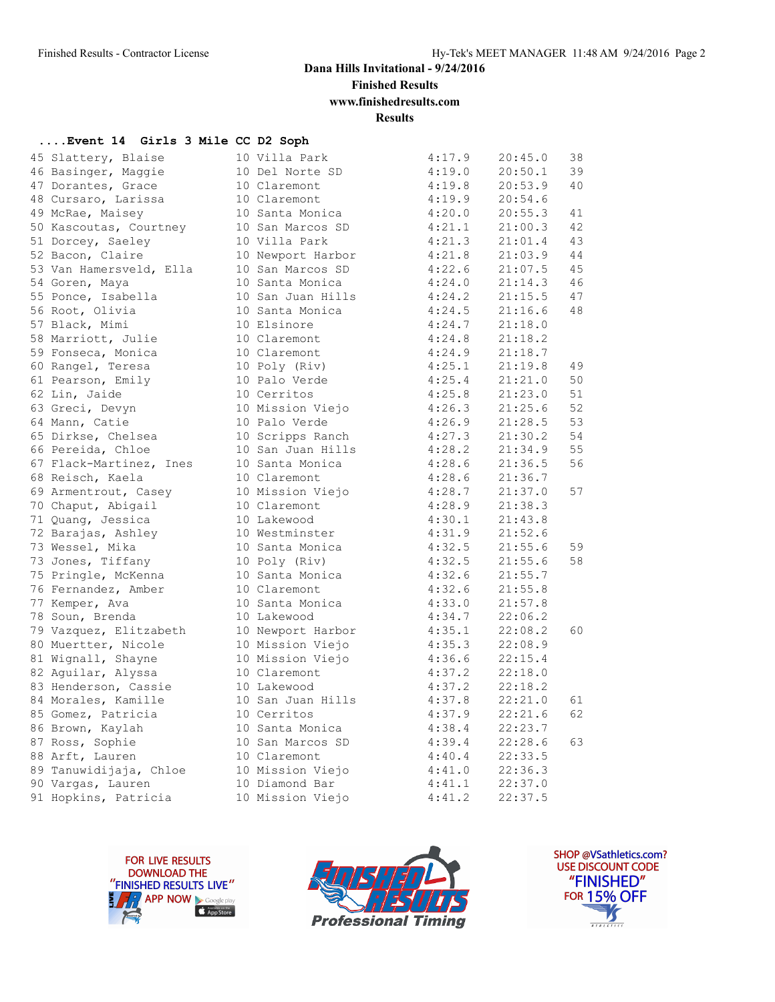**Finished Results**

**www.finishedresults.com**

**Results**

### **....Event 14 Girls 3 Mile CC D2 Soph**

| 45 Slattery, Blaise     | 10 Villa Park     | 4:17.9 | 20:45.0 | 38 |
|-------------------------|-------------------|--------|---------|----|
| 46 Basinger, Maggie     | 10 Del Norte SD   | 4:19.0 | 20:50.1 | 39 |
| 47 Dorantes, Grace      | 10 Claremont      | 4:19.8 | 20:53.9 | 40 |
| 48 Cursaro, Larissa     | 10 Claremont      | 4:19.9 | 20:54.6 |    |
| 49 McRae, Maisey        | 10 Santa Monica   | 4:20.0 | 20:55.3 | 41 |
| 50 Kascoutas, Courtney  | 10 San Marcos SD  | 4:21.1 | 21:00.3 | 42 |
| 51 Dorcey, Saeley       | 10 Villa Park     | 4:21.3 | 21:01.4 | 43 |
| 52 Bacon, Claire        | 10 Newport Harbor | 4:21.8 | 21:03.9 | 44 |
| 53 Van Hamersveld, Ella | 10 San Marcos SD  | 4:22.6 | 21:07.5 | 45 |
| 54 Goren, Maya          | 10 Santa Monica   | 4:24.0 | 21:14.3 | 46 |
| 55 Ponce, Isabella      | 10 San Juan Hills | 4:24.2 | 21:15.5 | 47 |
| 56 Root, Olivia         | 10 Santa Monica   | 4:24.5 | 21:16.6 | 48 |
| 57 Black, Mimi          | 10 Elsinore       | 4:24.7 | 21:18.0 |    |
| 58 Marriott, Julie      | 10 Claremont      | 4:24.8 | 21:18.2 |    |
| 59 Fonseca, Monica      | 10 Claremont      | 4:24.9 | 21:18.7 |    |
| 60 Rangel, Teresa       | 10 Poly (Riv)     | 4:25.1 | 21:19.8 | 49 |
| 61 Pearson, Emily       | 10 Palo Verde     | 4:25.4 | 21:21.0 | 50 |
| 62 Lin, Jaide           | 10 Cerritos       | 4:25.8 | 21:23.0 | 51 |
| 63 Greci, Devyn         | 10 Mission Viejo  | 4:26.3 | 21:25.6 | 52 |
| 64 Mann, Catie          | 10 Palo Verde     | 4:26.9 | 21:28.5 | 53 |
| 65 Dirkse, Chelsea      | 10 Scripps Ranch  | 4:27.3 | 21:30.2 | 54 |
| 66 Pereida, Chloe       | 10 San Juan Hills | 4:28.2 | 21:34.9 | 55 |
| 67 Flack-Martinez, Ines | 10 Santa Monica   | 4:28.6 | 21:36.5 | 56 |
| 68 Reisch, Kaela        | 10 Claremont      | 4:28.6 | 21:36.7 |    |
| 69 Armentrout, Casey    | 10 Mission Viejo  | 4:28.7 | 21:37.0 | 57 |
| 70 Chaput, Abigail      | 10 Claremont      | 4:28.9 | 21:38.3 |    |
| 71 Quang, Jessica       | 10 Lakewood       | 4:30.1 | 21:43.8 |    |
| 72 Barajas, Ashley      | 10 Westminster    | 4:31.9 | 21:52.6 |    |
| 73 Wessel, Mika         | 10 Santa Monica   | 4:32.5 | 21:55.6 | 59 |
| 73 Jones, Tiffany       | 10 Poly (Riv)     | 4:32.5 | 21:55.6 | 58 |
| 75 Pringle, McKenna     | 10 Santa Monica   | 4:32.6 | 21:55.7 |    |
| 76 Fernandez, Amber     | 10 Claremont      | 4:32.6 | 21:55.8 |    |
| 77 Kemper, Ava          | 10 Santa Monica   | 4:33.0 | 21:57.8 |    |
| 78 Soun, Brenda         | 10 Lakewood       | 4:34.7 | 22:06.2 |    |
| 79 Vazquez, Elitzabeth  | 10 Newport Harbor | 4:35.1 | 22:08.2 | 60 |
| 80 Muertter, Nicole     | 10 Mission Viejo  | 4:35.3 | 22:08.9 |    |
| 81 Wignall, Shayne      | 10 Mission Viejo  | 4:36.6 | 22:15.4 |    |
| 82 Aguilar, Alyssa      | 10 Claremont      | 4:37.2 | 22:18.0 |    |
| 83 Henderson, Cassie    | 10 Lakewood       | 4:37.2 | 22:18.2 |    |
| 84 Morales, Kamille     | 10 San Juan Hills | 4:37.8 | 22:21.0 | 61 |
| 85 Gomez, Patricia      | 10 Cerritos       | 4:37.9 | 22:21.6 | 62 |
| 86 Brown, Kaylah        | 10 Santa Monica   | 4:38.4 | 22:23.7 |    |
| 87 Ross, Sophie         | 10 San Marcos SD  | 4:39.4 | 22:28.6 | 63 |
| 88 Arft, Lauren         | 10 Claremont      | 4:40.4 | 22:33.5 |    |
| 89 Tanuwidijaja, Chloe  | 10 Mission Viejo  | 4:41.0 | 22:36.3 |    |
| 90 Vargas, Lauren       | 10 Diamond Bar    | 4:41.1 | 22:37.0 |    |
| 91 Hopkins, Patricia    | 10 Mission Viejo  | 4:41.2 | 22:37.5 |    |





SHOP @VSathletics.com? USE DISCOUNT CODE "FINISHED" **FOR 15% OFF**  $\frac{1}{\sqrt{2}}$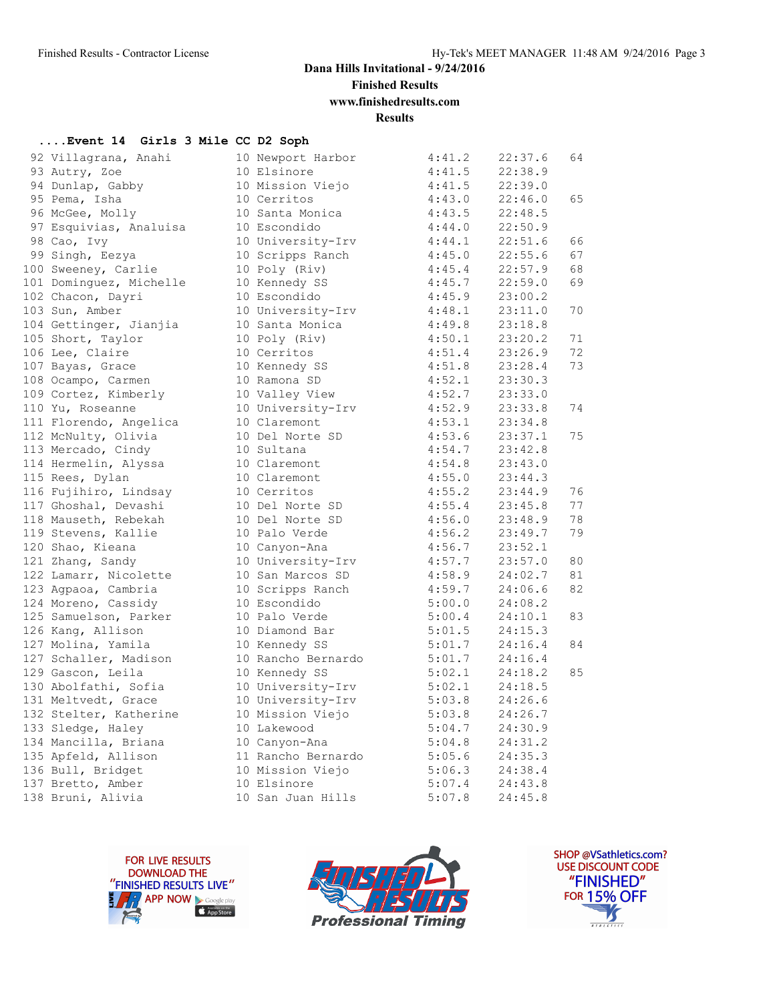**Finished Results**

**www.finishedresults.com**

**Results**

#### **....Event 14 Girls 3 Mile CC D2 Soph**

| 92 Villagrana, Anahi    | 10 Newport Harbor  | 4:41.2 | 22:37.6 | 64 |
|-------------------------|--------------------|--------|---------|----|
| 93 Autry, Zoe           | 10 Elsinore        | 4:41.5 | 22:38.9 |    |
| 94 Dunlap, Gabby        | 10 Mission Viejo   | 4:41.5 | 22:39.0 |    |
| 95 Pema, Isha           | 10 Cerritos        | 4:43.0 | 22:46.0 | 65 |
| 96 McGee, Molly         | 10 Santa Monica    | 4:43.5 | 22:48.5 |    |
| 97 Esquivias, Analuisa  | 10 Escondido       | 4:44.0 | 22:50.9 |    |
| 98 Cao, Ivy             | 10 University-Irv  | 4:44.1 | 22:51.6 | 66 |
| 99 Singh, Eezya         | 10 Scripps Ranch   | 4:45.0 | 22:55.6 | 67 |
| 100 Sweeney, Carlie     | 10 Poly (Riv)      | 4:45.4 | 22:57.9 | 68 |
| 101 Dominguez, Michelle | 10 Kennedy SS      | 4:45.7 | 22:59.0 | 69 |
| 102 Chacon, Dayri       | 10 Escondido       | 4:45.9 | 23:00.2 |    |
| 103 Sun, Amber          | 10 University-Irv  | 4:48.1 | 23:11.0 | 70 |
| 104 Gettinger, Jianjia  | 10 Santa Monica    | 4:49.8 | 23:18.8 |    |
| 105 Short, Taylor       | 10 Poly (Riv)      | 4:50.1 | 23:20.2 | 71 |
| 106 Lee, Claire         | 10 Cerritos        | 4:51.4 | 23:26.9 | 72 |
| 107 Bayas, Grace        | 10 Kennedy SS      | 4:51.8 | 23:28.4 | 73 |
| 108 Ocampo, Carmen      | 10 Ramona SD       | 4:52.1 | 23:30.3 |    |
| 109 Cortez, Kimberly    | 10 Valley View     | 4:52.7 | 23:33.0 |    |
| 110 Yu, Roseanne        | 10 University-Irv  | 4:52.9 | 23:33.8 | 74 |
| 111 Florendo, Angelica  | 10 Claremont       | 4:53.1 | 23:34.8 |    |
| 112 McNulty, Olivia     | 10 Del Norte SD    | 4:53.6 | 23:37.1 | 75 |
| 113 Mercado, Cindy      | 10 Sultana         | 4:54.7 | 23:42.8 |    |
| 114 Hermelin, Alyssa    | 10 Claremont       | 4:54.8 | 23:43.0 |    |
| 115 Rees, Dylan         | 10 Claremont       | 4:55.0 | 23:44.3 |    |
| 116 Fujihiro, Lindsay   | 10 Cerritos        | 4:55.2 | 23:44.9 | 76 |
| 117 Ghoshal, Devashi    | 10 Del Norte SD    | 4:55.4 | 23:45.8 | 77 |
| 118 Mauseth, Rebekah    | 10 Del Norte SD    | 4:56.0 | 23:48.9 | 78 |
| 119 Stevens, Kallie     | 10 Palo Verde      | 4:56.2 | 23:49.7 | 79 |
| 120 Shao, Kieana        | 10 Canyon-Ana      | 4:56.7 | 23:52.1 |    |
| 121 Zhang, Sandy        | 10 University-Irv  | 4:57.7 | 23:57.0 | 80 |
| 122 Lamarr, Nicolette   | 10 San Marcos SD   | 4:58.9 | 24:02.7 | 81 |
| 123 Agpaoa, Cambria     | 10 Scripps Ranch   | 4:59.7 | 24:06.6 | 82 |
| 124 Moreno, Cassidy     | 10 Escondido       | 5:00.0 | 24:08.2 |    |
| 125 Samuelson, Parker   | 10 Palo Verde      | 5:00.4 | 24:10.1 | 83 |
| 126 Kang, Allison       | 10 Diamond Bar     | 5:01.5 | 24:15.3 |    |
| 127 Molina, Yamila      | 10 Kennedy SS      | 5:01.7 | 24:16.4 | 84 |
| 127 Schaller, Madison   | 10 Rancho Bernardo | 5:01.7 | 24:16.4 |    |
| 129 Gascon, Leila       | 10 Kennedy SS      | 5:02.1 | 24:18.2 | 85 |
| 130 Abolfathi, Sofia    | 10 University-Irv  | 5:02.1 | 24:18.5 |    |
| 131 Meltvedt, Grace     | 10 University-Irv  | 5:03.8 | 24:26.6 |    |
| 132 Stelter, Katherine  | 10 Mission Viejo   | 5:03.8 | 24:26.7 |    |
| 133 Sledge, Haley       | 10 Lakewood        | 5:04.7 | 24:30.9 |    |
| 134 Mancilla, Briana    | 10 Canyon-Ana      | 5:04.8 | 24:31.2 |    |
| 135 Apfeld, Allison     | 11 Rancho Bernardo | 5:05.6 | 24:35.3 |    |
| 136 Bull, Bridget       | 10 Mission Viejo   | 5:06.3 | 24:38.4 |    |
| 137 Bretto, Amber       | 10 Elsinore        | 5:07.4 | 24:43.8 |    |
| 138 Bruni, Alivia       | 10 San Juan Hills  | 5:07.8 | 24:45.8 |    |
|                         |                    |        |         |    |





SHOP @VSathletics.com? USE DISCOUNT CODE "FINISHED" **FOR 15% OFF** Й  $\frac{1}{\sqrt{181411111}}$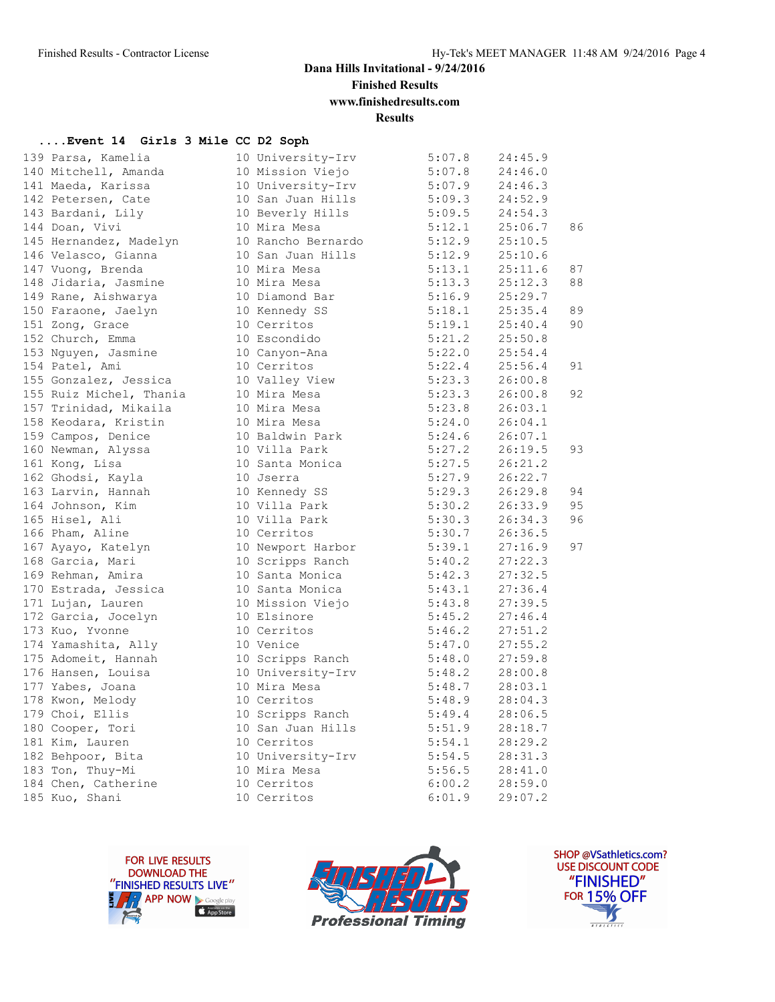**Finished Results**

## **www.finishedresults.com**

**Results**

#### **....Event 14 Girls 3 Mile CC D2 Soph**

| 139 Parsa, Kamelia                                                                                                 | 10 University-Irv                 | 5:07.8           | 24:45.9 |    |
|--------------------------------------------------------------------------------------------------------------------|-----------------------------------|------------------|---------|----|
| 140 Mitchell, Amanda                                                                                               | 10 Mission Viejo                  | 5:07.8           | 24:46.0 |    |
| 141 Maeda, Karissa                                                                                                 | 10 University-Irv                 | 5:07.9           | 24:46.3 |    |
| 142 Petersen, Cate                                                                                                 | 10 San Juan Hills 5:09.3          |                  | 24:52.9 |    |
| 143 Bardani, Lily                                                                                                  | 10 Beverly Hills                  | 5:09.5           | 24:54.3 |    |
| 144 Doan, Vivi                                                                                                     | 10 Mira Mesa                      | 5:12.1           | 25:06.7 | 86 |
| 145 Hernandez, Madelyn<br>146 Velasco, Gianna                                                                      | 10 Rancho Bernardo                | 5:12.9           | 25:10.5 |    |
|                                                                                                                    | 10 San Juan Hills                 | 5:12.9           | 25:10.6 |    |
| 147 Vuong, Brenda                                                                                                  | 10 Mira Mesa                      | 5:13.1           | 25:11.6 | 87 |
| 148 Jidaria, Jasmine                                                                                               | 10 Mira Mesa                      | 5:13.3           | 25:12.3 | 88 |
| 149 Rane, Aishwarya                                                                                                | 10 Diamond Bar                    | 5:16.9           | 25:29.7 |    |
| 150 Faraone, Jaelyn                                                                                                | 10 Kennedy SS                     | 5:18.1           | 25:35.4 | 89 |
| 151 Zong, Grace                                                                                                    | 10 Cerritos                       | 5:19.1           | 25:40.4 | 90 |
| 152 Church, Emma                                                                                                   | 10 Escondido                      | 5:21.2           | 25:50.8 |    |
| 153 Nguyen, Jasmine                                                                                                | 10 Canyon-Ana                     | 5:22.0           | 25:54.4 |    |
| 154 Patel, Ami                                                                                                     | 10 Cerritos                       | 5:22.4           | 25:56.4 | 91 |
|                                                                                                                    | 10 Valley View                    | 5:23.3           | 26:00.8 |    |
| 155 Gonzalez, Jessica<br>155 Ruiz Michel, Thania                                                                   | 10 vers<br>10 Mira Mesa           | 5:23.3           | 26:00.8 | 92 |
| 157 Trinidad, Mikaila                                                                                              | 10 Mira Mesa                      | 5:23.8           | 26:03.1 |    |
| 158 Keodara, Kristin                                                                                               | 10 Mira Mesa                      | 5:24.0           | 26:04.1 |    |
| 159 Campos, Denice                                                                                                 | 10 Baldwin Park                   | 5:24.6           | 26:07.1 |    |
| 160 Newman, Alyssa                                                                                                 | 10 Villa Park                     | 5:27.2           | 26:19.5 | 93 |
| 161 Kong, Lisa                                                                                                     | 10 Santa Monica                   | 5:27.5           | 26:21.2 |    |
| 162 Ghodsi, Kayla                                                                                                  |                                   | 5:27.9           | 26:22.7 |    |
| 163 Larvin, Hannah                                                                                                 | 10 Jserra<br>10 Kennedy SS        | 5:29.3           | 26:29.8 | 94 |
| 164 Johnson, Kim                                                                                                   | 10 Villa Park                     | 5:30.2           | 26:33.9 | 95 |
| 165 Hisel, Ali                                                                                                     | 10 Villa Park                     | 5:30.3           | 26:34.3 | 96 |
| 166 Pham, Aline                                                                                                    | 10 Cerritos                       | 5:30.7           | 26:36.5 |    |
| 167 Ayayo, Katelyn                     10 Newport Harbor<br>168 Garcia, Mari                      10 Scripps Ranch |                                   | 5:39.1           | 27:16.9 | 97 |
|                                                                                                                    |                                   | 5:40.2           | 27:22.3 |    |
| 169 Rehman, Amira                                                                                                  | 10 Santa Monica                   | 5:42.3           | 27:32.5 |    |
| 170 Estrada, Jessica                                                                                               | 10 Santa Monica                   | 5:43.1           | 27:36.4 |    |
| 171 Lujan, Lauren                                                                                                  | 10 Mission Viejo                  | 5:43.8           | 27:39.5 |    |
| 172 Garcia, Jocelyn                                                                                                | 10 Elsinore                       | 5:45.2           | 27:46.4 |    |
| 173 Kuo, Yvonne                                                                                                    | 10 Cerritos                       | 5:46.2           | 27:51.2 |    |
| 174 Yamashita, Ally                                                                                                | 10 Venice                         | 5:47.0           | 27:55.2 |    |
|                                                                                                                    | 10 Scripps Ranch                  | 5:48.0           | 27:59.8 |    |
| 175 Adomeit, Hannah<br>176 Hansen, Louisa                                                                          | 10 University-Irv                 | 5:48.2           | 28:00.8 |    |
| 177 Yabes, Joana                                                                                                   | 10 Mira Mesa                      | 5:48.7           | 28:03.1 |    |
| 178 Kwon, Melody<br>179 Choi, Ellis                                                                                | 10 Cerritos                       | 5:48.9           | 28:04.3 |    |
|                                                                                                                    | 10 Scripps Ranch 5:49.4           |                  | 28:06.5 |    |
| 175 Care<br>180 Cooper, Tori<br>101 Mim - Lauren                                                                   | 10 San Juan Hills                 | 5:51.9           | 28:18.7 |    |
|                                                                                                                    | 10 Cerritos                       | 5:54.1           | 28:29.2 |    |
| 182 Behpoor, Bita                                                                                                  | 10 University-Irv<br>10 Mira Mesa | 5:54.5<br>5:56.5 | 28:31.3 |    |
| 183 Ton, Thuy-Mi                                                                                                   |                                   |                  | 28:41.0 |    |
| 184 Chen, Catherine                                                                                                | 10 Cerritos                       | 6:00.2           | 28:59.0 |    |
| 185 Kuo, Shani                                                                                                     | 10 Cerritos                       | 6:01.9           | 29:07.2 |    |
|                                                                                                                    |                                   |                  |         |    |





SHOP @VSathletics.com? USE DISCOUNT CODE "FINISHED" **FOR 15% OFF** IS  $\frac{1}{\sqrt{181411111}}$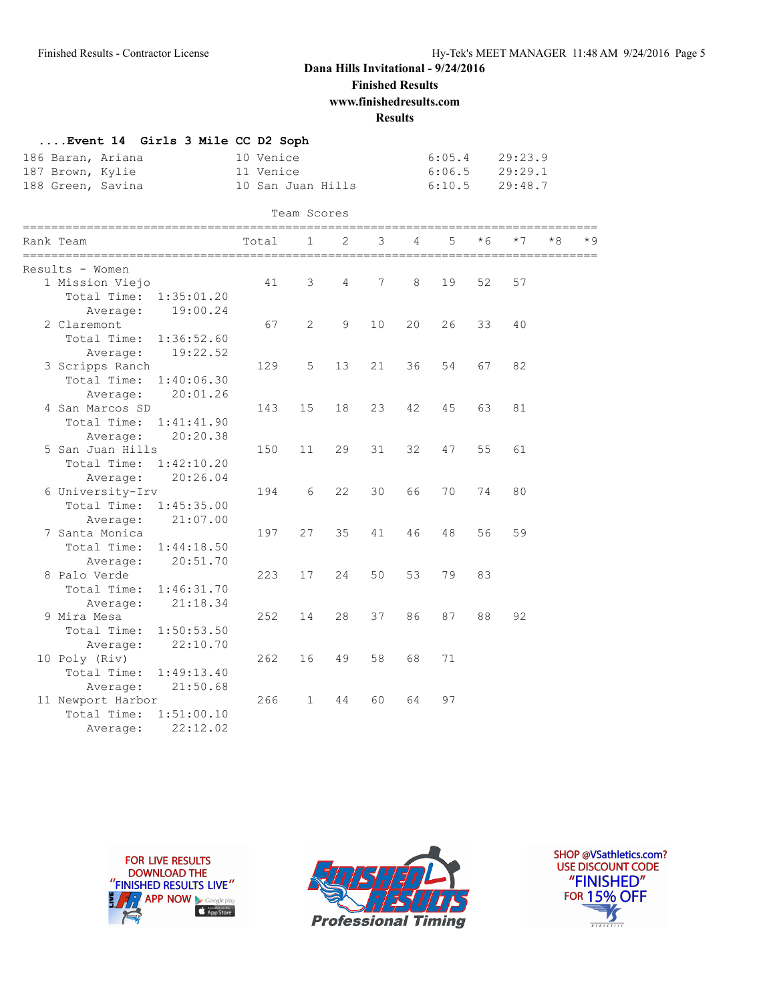**Finished Results**

**www.finishedresults.com**

**Results**

|                   | Event 14 Girls 3 Mile CC D2 Soph |                   |                  |         |
|-------------------|----------------------------------|-------------------|------------------|---------|
| 186 Baran, Ariana |                                  | 10 Venice         | 6:05.4           | 29:23.9 |
| 187 Brown, Kylie  |                                  | 11 Venice         | $6:06.5$ 29:29.1 |         |
| 188 Green, Savina |                                  | 10 San Juan Hills | 6:10.5           | 29:48.7 |

|  | Team Scores               |       |              |    |    |    |    |     |      |    |     |
|--|---------------------------|-------|--------------|----|----|----|----|-----|------|----|-----|
|  | Rank Team                 | Total | 1            | 2  | 3  | 4  | 5  | * 6 | $*7$ | *8 | * 9 |
|  | Results - Women           |       |              |    |    |    |    |     |      |    |     |
|  | 1 Mission Viejo           | 41    | 3            | 4  | 7  | 8  | 19 | 52  | 57   |    |     |
|  | Total Time:<br>1:35:01.20 |       |              |    |    |    |    |     |      |    |     |
|  | 19:00.24<br>Average:      |       |              |    |    |    |    |     |      |    |     |
|  | 2 Claremont               | 67    | $\mathbf{2}$ | 9  | 10 | 20 | 26 | 33  | 40   |    |     |
|  | Total Time:<br>1:36:52.60 |       |              |    |    |    |    |     |      |    |     |
|  | 19:22.52<br>Average:      |       |              |    |    |    |    |     |      |    |     |
|  | 3 Scripps Ranch           | 129   | 5            | 13 | 21 | 36 | 54 | 67  | 82   |    |     |
|  | Total Time:<br>1:40:06.30 |       |              |    |    |    |    |     |      |    |     |
|  | 20:01.26<br>Average:      |       |              |    |    |    |    |     |      |    |     |
|  | 4 San Marcos SD           | 143   | 15           | 18 | 23 | 42 | 45 | 63  | 81   |    |     |
|  | Total Time:<br>1:41:41.90 |       |              |    |    |    |    |     |      |    |     |
|  | 20:20.38<br>Average:      |       |              |    |    |    |    |     |      |    |     |
|  | 5 San Juan Hills          | 150   | 11           | 29 | 31 | 32 | 47 | 55  | 61   |    |     |
|  | Total Time:<br>1:42:10.20 |       |              |    |    |    |    |     |      |    |     |
|  | 20:26.04<br>Average:      |       |              |    |    |    |    |     |      |    |     |
|  | 6 University-Irv          | 194   | 6            | 22 | 30 | 66 | 70 | 74  | 80   |    |     |
|  | Total Time:<br>1:45:35.00 |       |              |    |    |    |    |     |      |    |     |
|  | 21:07.00<br>Average:      |       |              |    |    |    |    |     |      |    |     |
|  | 7 Santa Monica            | 197   | 27           | 35 | 41 | 46 | 48 | 56  | 59   |    |     |
|  | Total Time:<br>1:44:18.50 |       |              |    |    |    |    |     |      |    |     |
|  | 20:51.70<br>Average:      |       |              |    |    |    |    |     |      |    |     |
|  | 8 Palo Verde              | 223   | 17           | 24 | 50 | 53 | 79 | 83  |      |    |     |
|  | Total Time:<br>1:46:31.70 |       |              |    |    |    |    |     |      |    |     |
|  | 21:18.34<br>Average:      |       |              |    |    |    |    |     |      |    |     |
|  | 9 Mira Mesa               | 252   | 14           | 28 | 37 | 86 | 87 | 88  | 92   |    |     |
|  | Total Time:<br>1:50:53.50 |       |              |    |    |    |    |     |      |    |     |
|  | 22:10.70<br>Average:      |       |              |    |    |    |    |     |      |    |     |
|  | 10 Poly (Riv)             | 262   | 16           | 49 | 58 | 68 | 71 |     |      |    |     |
|  | Total Time:<br>1:49:13.40 |       |              |    |    |    |    |     |      |    |     |
|  | 21:50.68<br>Average:      |       |              |    |    |    |    |     |      |    |     |
|  | 11 Newport Harbor         | 266   | $\mathbf{1}$ | 44 | 60 | 64 | 97 |     |      |    |     |
|  | Total Time:<br>1:51:00.10 |       |              |    |    |    |    |     |      |    |     |
|  | 22:12.02<br>Average:      |       |              |    |    |    |    |     |      |    |     |





SHOP @VSathletics.com? USE DISCOUNT CODE "FINISHED" **FOR 15% OFF**  $\frac{1}{\sqrt{2}}$